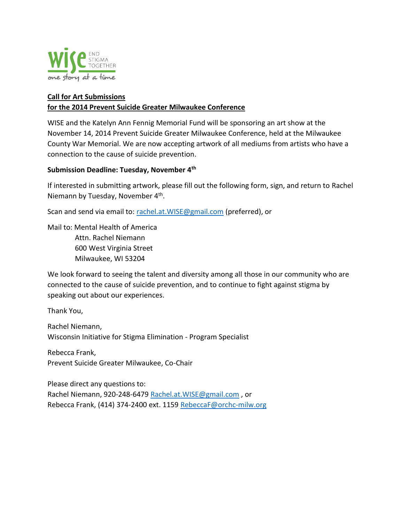

## **Call for Art Submissions for the 2014 Prevent Suicide Greater Milwaukee Conference**

WISE and the Katelyn Ann Fennig Memorial Fund will be sponsoring an art show at the November 14, 2014 Prevent Suicide Greater Milwaukee Conference, held at the Milwaukee County War Memorial. We are now accepting artwork of all mediums from artists who have a connection to the cause of suicide prevention.

## **Submission Deadline: Tuesday, November 4th**

If interested in submitting artwork, please fill out the following form, sign, and return to Rachel Niemann by Tuesday, November 4<sup>th</sup>.

Scan and send via email to: rachel.at. WISE@gmail.com (preferred), or

Mail to: Mental Health of America Attn. Rachel Niemann 600 West Virginia Street Milwaukee, WI 53204

We look forward to seeing the talent and diversity among all those in our community who are connected to the cause of suicide prevention, and to continue to fight against stigma by speaking out about our experiences.

Thank You,

Rachel Niemann, Wisconsin Initiative for Stigma Elimination - Program Specialist

Rebecca Frank, Prevent Suicide Greater Milwaukee, Co-Chair

Please direct any questions to: Rachel Niemann, 920-248-6479 Rachel.at. WISE@gmail.com, or Rebecca Frank, (414) 374-2400 ext. 1159 [RebeccaF@orchc-milw.org](mailto:RebeccaF@orchc-milw.org)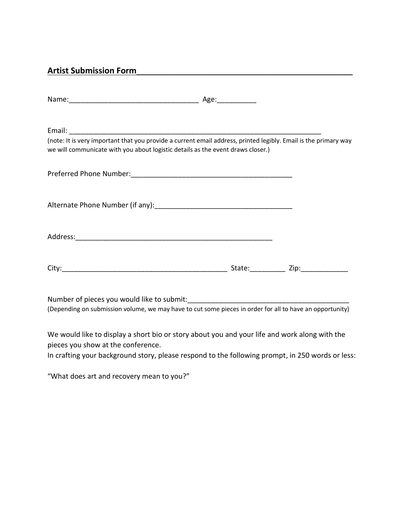## **Artist Submission Form**\_\_\_\_\_\_\_\_\_\_\_\_\_\_\_\_\_\_\_\_\_\_\_\_\_\_\_\_\_\_\_\_\_\_\_\_\_\_\_\_\_\_\_\_\_\_\_

| (note: It is very important that you provide a current email address, printed legibly. Email is the primary way<br>we will communicate with you about logistic details as the event draws closer.) |                  |
|----------------------------------------------------------------------------------------------------------------------------------------------------------------------------------------------------|------------------|
|                                                                                                                                                                                                    |                  |
|                                                                                                                                                                                                    |                  |
|                                                                                                                                                                                                    |                  |
|                                                                                                                                                                                                    | State: Zip: Zip: |

Number of pieces you would like to submit:\_\_\_\_\_\_\_\_\_\_\_\_\_\_\_\_\_\_\_\_\_\_\_\_\_\_\_\_\_\_\_\_\_\_\_\_\_\_\_\_\_ (Depending on submission volume, we may have to cut some pieces in order for all to have an opportunity)

We would like to display a short bio or story about you and your life and work along with the pieces you show at the conference.

In crafting your background story, please respond to the following prompt, in 250 words or less:

"What does art and recovery mean to you?"